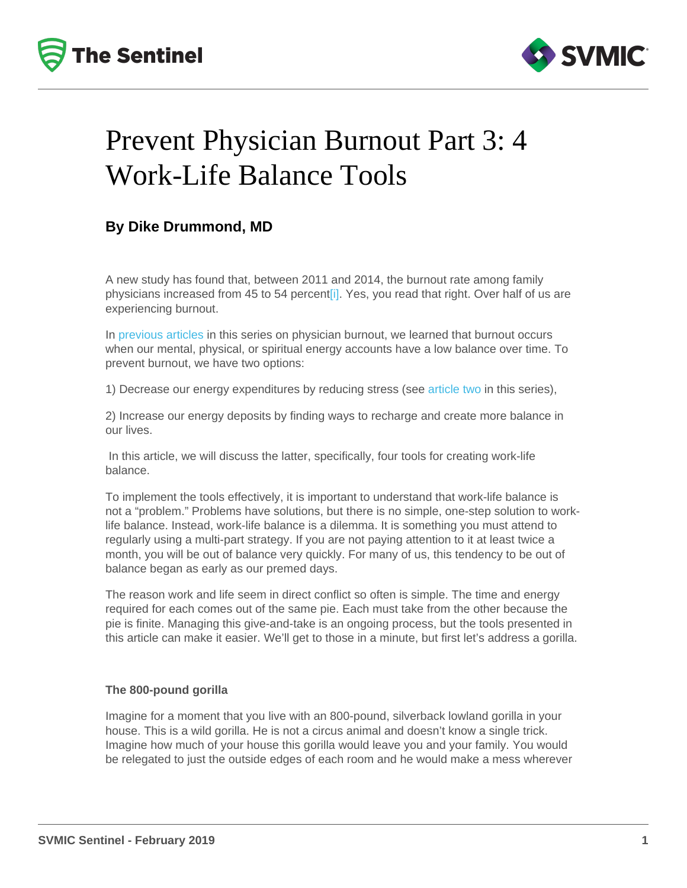# Prevent Physician Burnout Part 3: 4 Work-Life Balance Tools

# By Dike Drummond, MD

A new study has found that, between 2011 and 2014, the burnout rate among family physicians increased from 45 to 54 percent[i]. Yes, you read that right. Over half of us are experiencing burnout.

In [previous articles](/resources/newsletters/topic/9) in this series on physician burnout, we learned that burnout occurs when our mental, physical, or spiritual energy accounts have a low balance over time. To prevent burnout, we have two options:

1) Decrease our energy expenditures by reducing stress (see [article two](/resources/newsletters/174/prevent-physician-burnout-part-2-8-ways-to-lower-practice-stress-and-get-home-sooner) in this series),

2) Increase our energy deposits by finding ways to recharge and create more balance in our lives.

 In this article, we will discuss the latter, specifically, four tools for creating work-life balance.

To implement the tools effectively, it is important to understand that work-life balance is not a "problem." Problems have solutions, but there is no simple, one-step solution to worklife balance. Instead, work-life balance is a dilemma. It is something you must attend to regularly using a multi-part strategy. If you are not paying attention to it at least twice a month, you will be out of balance very quickly. For many of us, this tendency to be out of balance began as early as our premed days.

The reason work and life seem in direct conflict so often is simple. The time and energy required for each comes out of the same pie. Each must take from the other because the pie is finite. Managing this give-and-take is an ongoing process, but the tools presented in this article can make it easier. We'll get to those in a minute, but first let's address a gorilla.

# The 800-pound gorilla

Imagine for a moment that you live with an 800-pound, silverback lowland gorilla in your house. This is a wild gorilla. He is not a circus animal and doesn't know a single trick. Imagine how much of your house this gorilla would leave you and your family. You would be relegated to just the outside edges of each room and he would make a mess wherever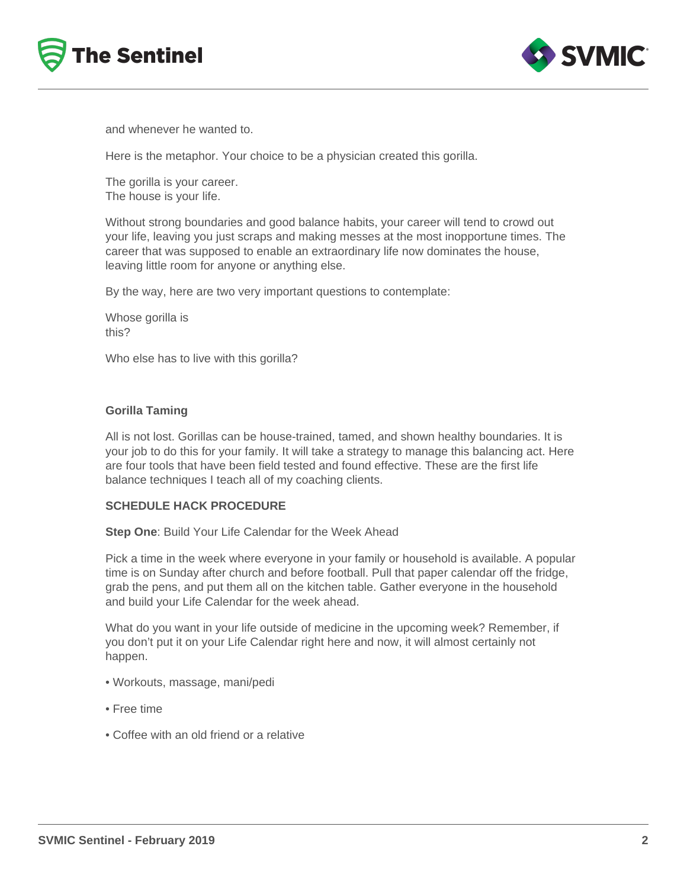



and whenever he wanted to.

Here is the metaphor. Your choice to be a physician created this gorilla.

The gorilla is your career. The house is your life.

Without strong boundaries and good balance habits, your career will tend to crowd out your life, leaving you just scraps and making messes at the most inopportune times. The career that was supposed to enable an extraordinary life now dominates the house, leaving little room for anyone or anything else.

By the way, here are two very important questions to contemplate:

Whose gorilla is this?

Who else has to live with this gorilla?

## **Gorilla Taming**

All is not lost. Gorillas can be house-trained, tamed, and shown healthy boundaries. It is your job to do this for your family. It will take a strategy to manage this balancing act. Here are four tools that have been field tested and found effective. These are the first life balance techniques I teach all of my coaching clients.

## **SCHEDULE HACK PROCEDURE**

**Step One**: Build Your Life Calendar for the Week Ahead

Pick a time in the week where everyone in your family or household is available. A popular time is on Sunday after church and before football. Pull that paper calendar off the fridge, grab the pens, and put them all on the kitchen table. Gather everyone in the household and build your Life Calendar for the week ahead.

What do you want in your life outside of medicine in the upcoming week? Remember, if you don't put it on your Life Calendar right here and now, it will almost certainly not happen.

- Workouts, massage, mani/pedi
- Free time
- Coffee with an old friend or a relative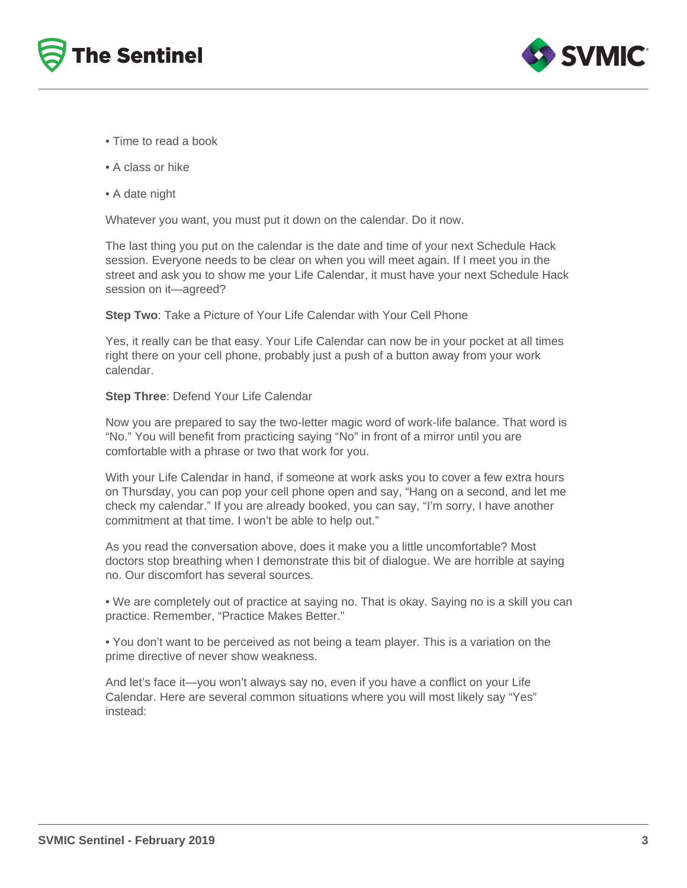



- Time to read a book
- A class or hike
- A date night

Whatever you want, you must put it down on the calendar. Do it now.

The last thing you put on the calendar is the date and time of your next Schedule Hack session. Everyone needs to be clear on when you will meet again. If I meet you in the street and ask you to show me your Life Calendar, it must have your next Schedule Hack session on it—agreed?

**Step Two**: Take a Picture of Your Life Calendar with Your Cell Phone

Yes, it really can be that easy. Your Life Calendar can now be in your pocket at all times right there on your cell phone, probably just a push of a button away from your work calendar.

#### **Step Three**: Defend Your Life Calendar

Now you are prepared to say the two-letter magic word of work-life balance. That word is "No." You will benefit from practicing saying "No" in front of a mirror until you are comfortable with a phrase or two that work for you.

With your Life Calendar in hand, if someone at work asks you to cover a few extra hours on Thursday, you can pop your cell phone open and say, "Hang on a second, and let me check my calendar." If you are already booked, you can say, "I'm sorry, I have another commitment at that time. I won't be able to help out."

As you read the conversation above, does it make you a little uncomfortable? Most doctors stop breathing when I demonstrate this bit of dialogue. We are horrible at saying no. Our discomfort has several sources.

• We are completely out of practice at saying no. That is okay. Saying no is a skill you can practice. Remember, "Practice Makes Better."

• You don't want to be perceived as not being a team player. This is a variation on the prime directive of never show weakness.

And let's face it—you won't always say no, even if you have a conflict on your Life Calendar. Here are several common situations where you will most likely say "Yes" instead: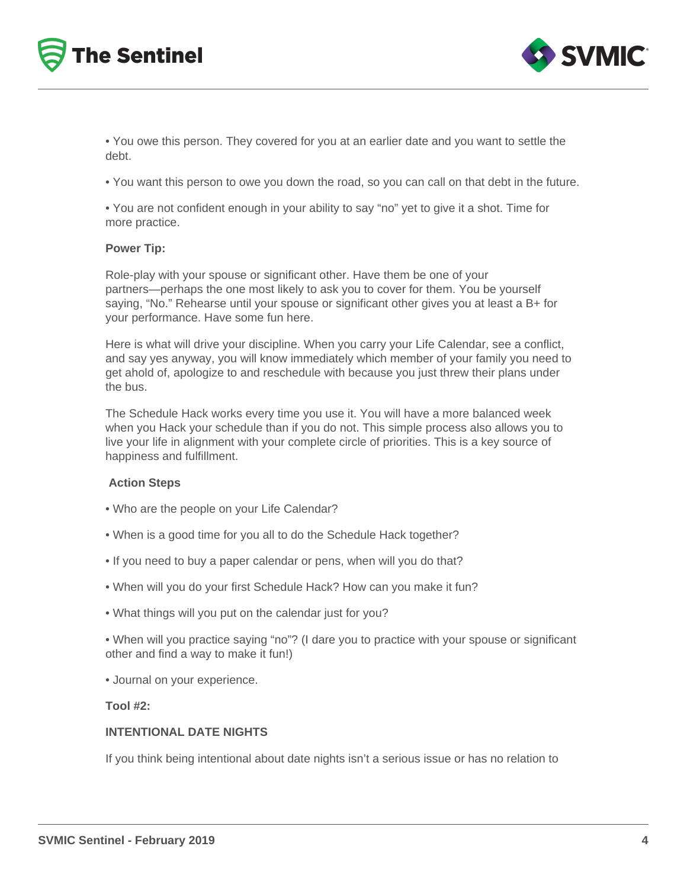



• You owe this person. They covered for you at an earlier date and you want to settle the debt.

• You want this person to owe you down the road, so you can call on that debt in the future.

• You are not confident enough in your ability to say "no" yet to give it a shot. Time for more practice.

#### **Power Tip:**

Role-play with your spouse or significant other. Have them be one of your partners—perhaps the one most likely to ask you to cover for them. You be yourself saying, "No." Rehearse until your spouse or significant other gives you at least a B+ for your performance. Have some fun here.

Here is what will drive your discipline. When you carry your Life Calendar, see a conflict, and say yes anyway, you will know immediately which member of your family you need to get ahold of, apologize to and reschedule with because you just threw their plans under the bus.

The Schedule Hack works every time you use it. You will have a more balanced week when you Hack your schedule than if you do not. This simple process also allows you to live your life in alignment with your complete circle of priorities. This is a key source of happiness and fulfillment.

#### **Action Steps**

- Who are the people on your Life Calendar?
- When is a good time for you all to do the Schedule Hack together?
- If you need to buy a paper calendar or pens, when will you do that?
- When will you do your first Schedule Hack? How can you make it fun?
- What things will you put on the calendar just for you?

• When will you practice saying "no"? (I dare you to practice with your spouse or significant other and find a way to make it fun!)

• Journal on your experience.

#### **Tool #2:**

## **INTENTIONAL DATE NIGHTS**

If you think being intentional about date nights isn't a serious issue or has no relation to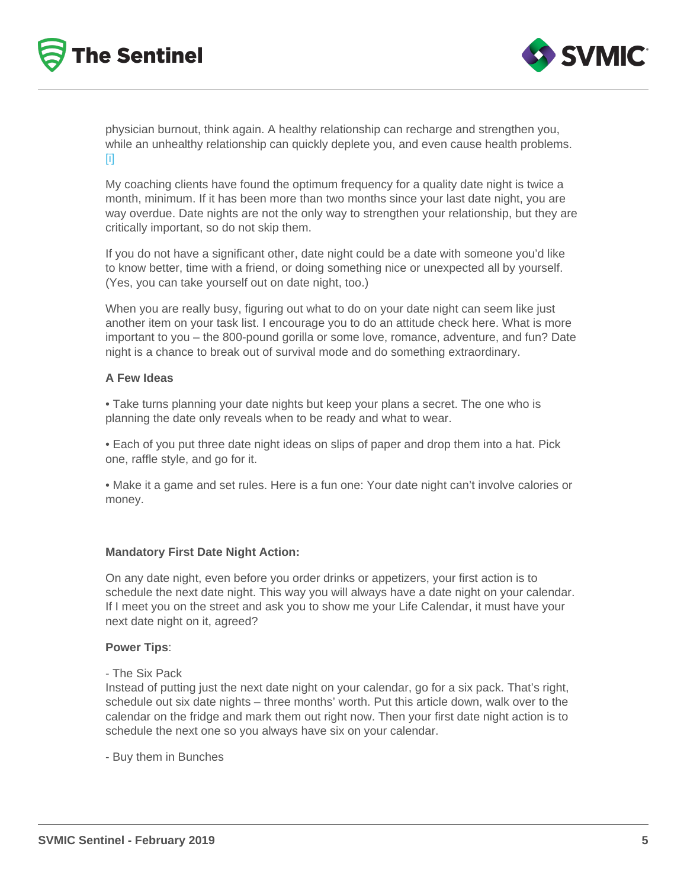physician burnout, think again. A healthy relationship can recharge and strengthen you, while an unhealthy relationship can quickly deplete you, and even cause health problems. [i]

My coaching clients have found the optimum frequency for a quality date night is twice a month, minimum. If it has been more than two months since your last date night, you are way overdue. Date nights are not the only way to strengthen your relationship, but they are critically important, so do not skip them.

If you do not have a significant other, date night could be a date with someone you'd like to know better, time with a friend, or doing something nice or unexpected all by yourself. (Yes, you can take yourself out on date night, too.)

When you are really busy, figuring out what to do on your date night can seem like just another item on your task list. I encourage you to do an attitude check here. What is more important to you – the 800-pound gorilla or some love, romance, adventure, and fun? Date night is a chance to break out of survival mode and do something extraordinary.

A Few Ideas

• Take turns planning your date nights but keep your plans a secret. The one who is planning the date only reveals when to be ready and what to wear.

• Each of you put three date night ideas on slips of paper and drop them into a hat. Pick one, raffle style, and go for it.

• Make it a game and set rules. Here is a fun one: Your date night can't involve calories or money.

Mandatory First Date Night Action:

On any date night, even before you order drinks or appetizers, your first action is to schedule the next date night. This way you will always have a date night on your calendar. If I meet you on the street and ask you to show me your Life Calendar, it must have your next date night on it, agreed?

Power Tips :

## - The Six Pack

Instead of putting just the next date night on your calendar, go for a six pack. That's right, schedule out six date nights – three months' worth. Put this article down, walk over to the calendar on the fridge and mark them out right now. Then your first date night action is to schedule the next one so you always have six on your calendar.

- Buy them in Bunches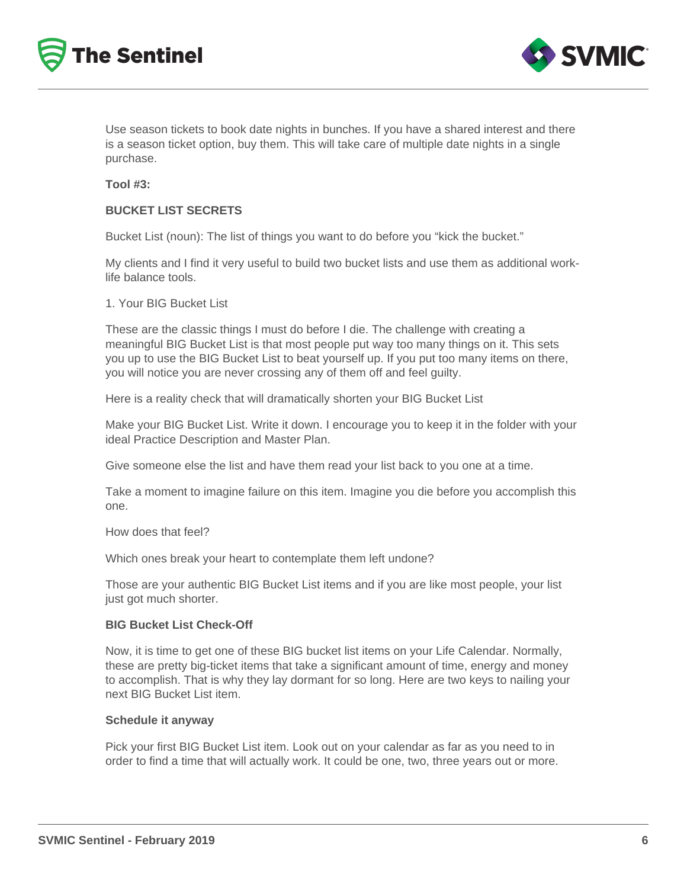



Use season tickets to book date nights in bunches. If you have a shared interest and there is a season ticket option, buy them. This will take care of multiple date nights in a single purchase.

#### **Tool #3:**

## **BUCKET LIST SECRETS**

Bucket List (noun): The list of things you want to do before you "kick the bucket."

My clients and I find it very useful to build two bucket lists and use them as additional worklife balance tools.

1. Your BIG Bucket List

These are the classic things I must do before I die. The challenge with creating a meaningful BIG Bucket List is that most people put way too many things on it. This sets you up to use the BIG Bucket List to beat yourself up. If you put too many items on there, you will notice you are never crossing any of them off and feel guilty.

Here is a reality check that will dramatically shorten your BIG Bucket List

Make your BIG Bucket List. Write it down. I encourage you to keep it in the folder with your ideal Practice Description and Master Plan.

Give someone else the list and have them read your list back to you one at a time.

Take a moment to imagine failure on this item. Imagine you die before you accomplish this one.

How does that feel?

Which ones break your heart to contemplate them left undone?

Those are your authentic BIG Bucket List items and if you are like most people, your list just got much shorter.

#### **BIG Bucket List Check-Off**

Now, it is time to get one of these BIG bucket list items on your Life Calendar. Normally, these are pretty big-ticket items that take a significant amount of time, energy and money to accomplish. That is why they lay dormant for so long. Here are two keys to nailing your next BIG Bucket List item.

#### **Schedule it anyway**

Pick your first BIG Bucket List item. Look out on your calendar as far as you need to in order to find a time that will actually work. It could be one, two, three years out or more.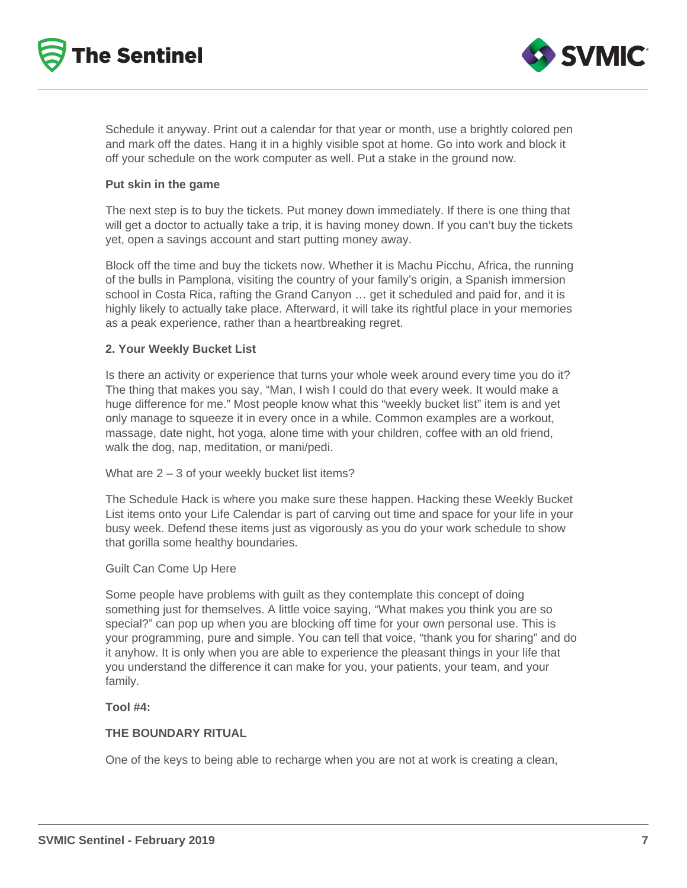



Schedule it anyway. Print out a calendar for that year or month, use a brightly colored pen and mark off the dates. Hang it in a highly visible spot at home. Go into work and block it off your schedule on the work computer as well. Put a stake in the ground now.

## **Put skin in the game**

The next step is to buy the tickets. Put money down immediately. If there is one thing that will get a doctor to actually take a trip, it is having money down. If you can't buy the tickets yet, open a savings account and start putting money away.

Block off the time and buy the tickets now. Whether it is Machu Picchu, Africa, the running of the bulls in Pamplona, visiting the country of your family's origin, a Spanish immersion school in Costa Rica, rafting the Grand Canyon … get it scheduled and paid for, and it is highly likely to actually take place. Afterward, it will take its rightful place in your memories as a peak experience, rather than a heartbreaking regret.

## **2. Your Weekly Bucket List**

Is there an activity or experience that turns your whole week around every time you do it? The thing that makes you say, "Man, I wish I could do that every week. It would make a huge difference for me." Most people know what this "weekly bucket list" item is and yet only manage to squeeze it in every once in a while. Common examples are a workout, massage, date night, hot yoga, alone time with your children, coffee with an old friend, walk the dog, nap, meditation, or mani/pedi.

## What are  $2 - 3$  of your weekly bucket list items?

The Schedule Hack is where you make sure these happen. Hacking these Weekly Bucket List items onto your Life Calendar is part of carving out time and space for your life in your busy week. Defend these items just as vigorously as you do your work schedule to show that gorilla some healthy boundaries.

## Guilt Can Come Up Here

Some people have problems with guilt as they contemplate this concept of doing something just for themselves. A little voice saying, "What makes you think you are so special?" can pop up when you are blocking off time for your own personal use. This is your programming, pure and simple. You can tell that voice, "thank you for sharing" and do it anyhow. It is only when you are able to experience the pleasant things in your life that you understand the difference it can make for you, your patients, your team, and your family.

## **Tool #4:**

## **THE BOUNDARY RITUAL**

One of the keys to being able to recharge when you are not at work is creating a clean,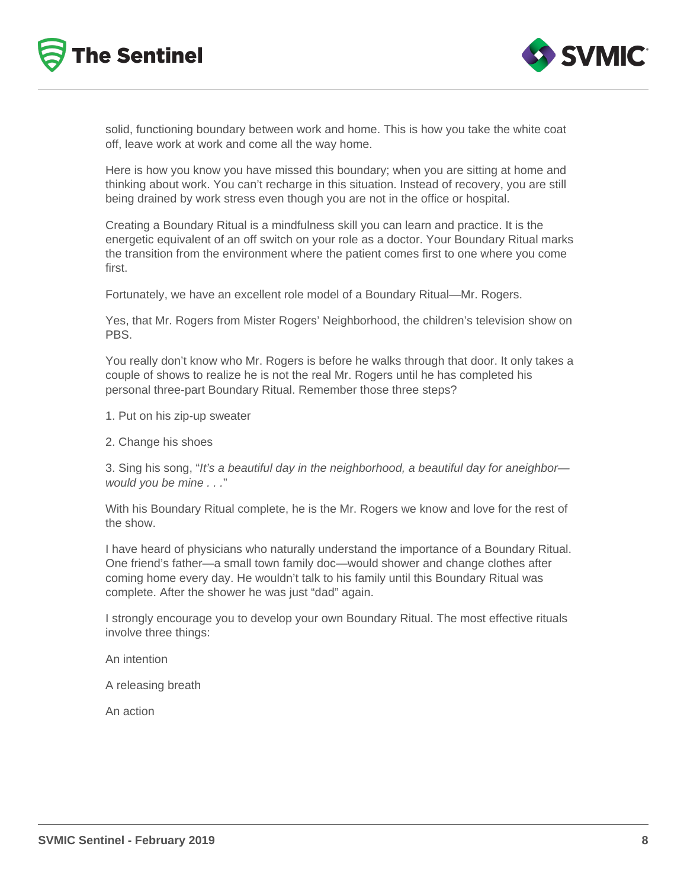



solid, functioning boundary between work and home. This is how you take the white coat off, leave work at work and come all the way home.

Here is how you know you have missed this boundary; when you are sitting at home and thinking about work. You can't recharge in this situation. Instead of recovery, you are still being drained by work stress even though you are not in the office or hospital.

Creating a Boundary Ritual is a mindfulness skill you can learn and practice. It is the energetic equivalent of an off switch on your role as a doctor. Your Boundary Ritual marks the transition from the environment where the patient comes first to one where you come first.

Fortunately, we have an excellent role model of a Boundary Ritual—Mr. Rogers.

Yes, that Mr. Rogers from Mister Rogers' Neighborhood, the children's television show on PBS.

You really don't know who Mr. Rogers is before he walks through that door. It only takes a couple of shows to realize he is not the real Mr. Rogers until he has completed his personal three-part Boundary Ritual. Remember those three steps?

- 1. Put on his zip-up sweater
- 2. Change his shoes

3. Sing his song, "It's a beautiful day in the neighborhood, a beautiful day for aneighbor would you be mine . . ."

With his Boundary Ritual complete, he is the Mr. Rogers we know and love for the rest of the show.

I have heard of physicians who naturally understand the importance of a Boundary Ritual. One friend's father—a small town family doc—would shower and change clothes after coming home every day. He wouldn't talk to his family until this Boundary Ritual was complete. After the shower he was just "dad" again.

I strongly encourage you to develop your own Boundary Ritual. The most effective rituals involve three things:

An intention

A releasing breath

An action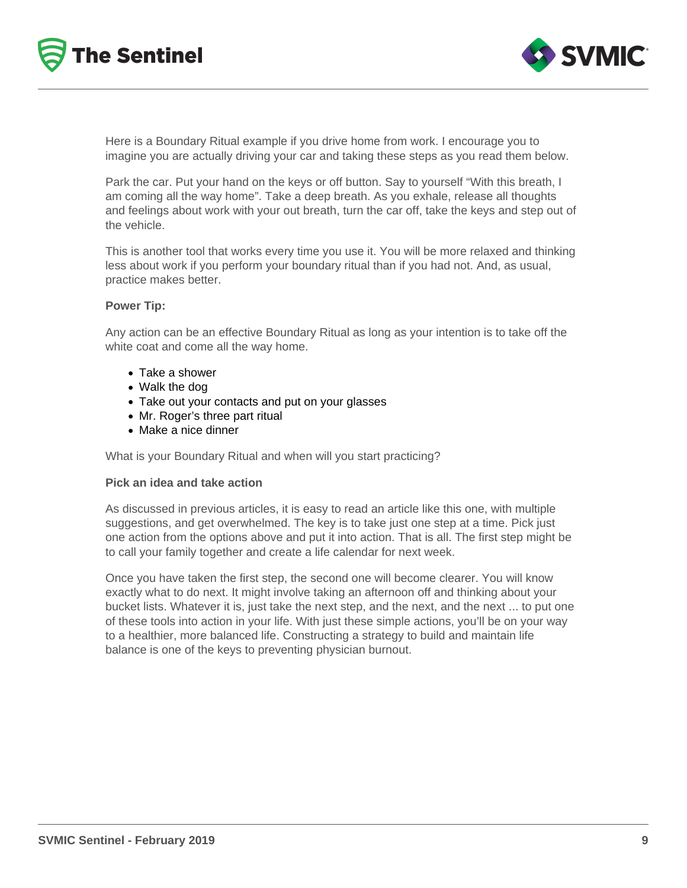



Here is a Boundary Ritual example if you drive home from work. I encourage you to imagine you are actually driving your car and taking these steps as you read them below.

Park the car. Put your hand on the keys or off button. Say to yourself "With this breath, I am coming all the way home". Take a deep breath. As you exhale, release all thoughts and feelings about work with your out breath, turn the car off, take the keys and step out of the vehicle.

This is another tool that works every time you use it. You will be more relaxed and thinking less about work if you perform your boundary ritual than if you had not. And, as usual, practice makes better.

#### **Power Tip:**

Any action can be an effective Boundary Ritual as long as your intention is to take off the white coat and come all the way home.

- Take a shower
- Walk the dog
- Take out your contacts and put on your glasses
- Mr. Roger's three part ritual
- Make a nice dinner

What is your Boundary Ritual and when will you start practicing?

#### **Pick an idea and take action**

As discussed in previous articles, it is easy to read an article like this one, with multiple suggestions, and get overwhelmed. The key is to take just one step at a time. Pick just one action from the options above and put it into action. That is all. The first step might be to call your family together and create a life calendar for next week.

Once you have taken the first step, the second one will become clearer. You will know exactly what to do next. It might involve taking an afternoon off and thinking about your bucket lists. Whatever it is, just take the next step, and the next, and the next ... to put one of these tools into action in your life. With just these simple actions, you'll be on your way to a healthier, more balanced life. Constructing a strategy to build and maintain life balance is one of the keys to preventing physician burnout.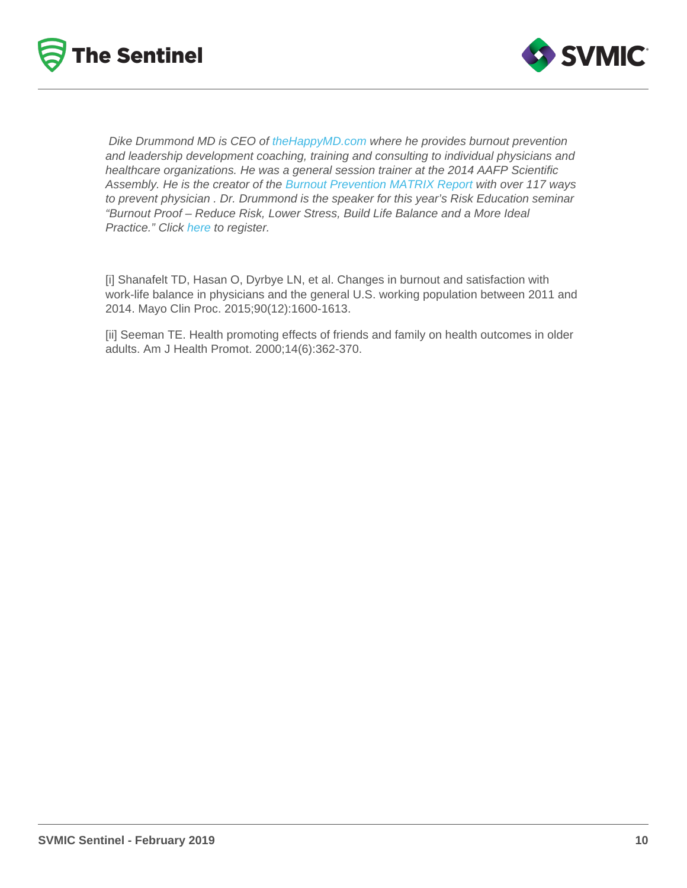Dike Drummond MD is CEO of the HappyMD.com where he provides burnout prevention and leadership development coaching, training and consulting to individual physicians and healthcare organizations. He was a general session trainer at the 2014 AAFP Scientific Assembly. He is the creator of the [Burnout Prevention MATRIX Report](http://www.thehappymd.com/) with over 117 ways to prevent physician . Dr. Drummond is the speaker for this year's Risk Education seminar "Burnout Proof – Reduce Risk, Lower Stress, Build Life Balance and a More Ideal Practice." Click [here](https://education.svmic.com/courses/published?title=&field_course_format_tid=54&field_city_tid=All&field_credit_eligibility_tid[0]=34&order=field_course_event_date&sort=asc) to register.

[i] Shanafelt TD, Hasan O, Dyrbye LN, et al. Changes in burnout and satisfaction with work-life balance in physicians and the general U.S. working population between 2011 and 2014. Mayo Clin Proc. 2015;90(12):1600-1613.

[ii] Seeman TE. Health promoting effects of friends and family on health outcomes in older adults. Am J Health Promot. 2000;14(6):362-370.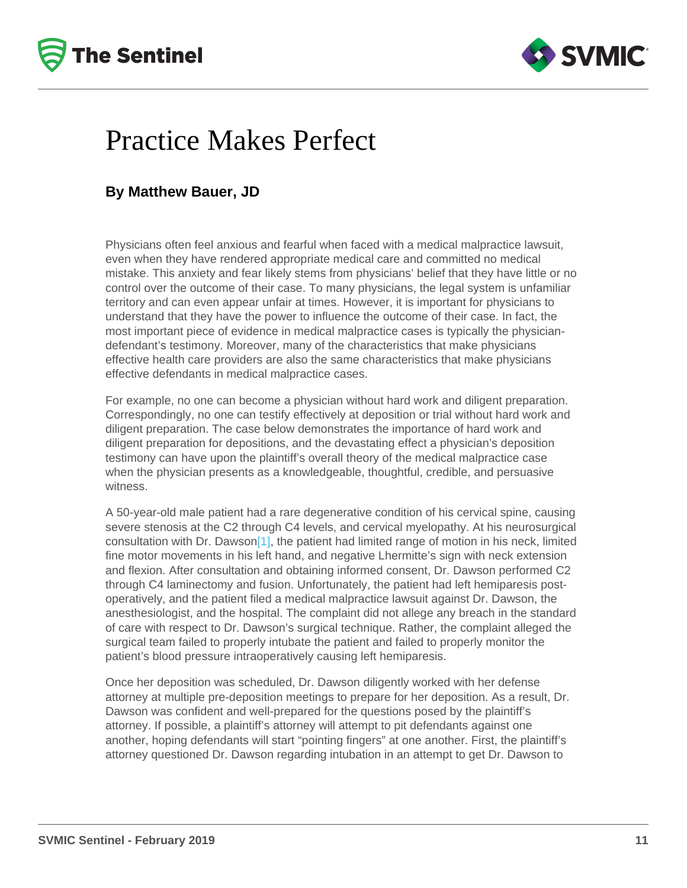# <span id="page-10-0"></span>Practice Makes Perfect

# By Matthew Bauer, JD

Physicians often feel anxious and fearful when faced with a medical malpractice lawsuit, even when they have rendered appropriate medical care and committed no medical mistake. This anxiety and fear likely stems from physicians' belief that they have little or no control over the outcome of their case. To many physicians, the legal system is unfamiliar territory and can even appear unfair at times. However, it is important for physicians to understand that they have the power to influence the outcome of their case. In fact, the most important piece of evidence in medical malpractice cases is typically the physiciandefendant's testimony. Moreover, many of the characteristics that make physicians effective health care providers are also the same characteristics that make physicians effective defendants in medical malpractice cases.

For example, no one can become a physician without hard work and diligent preparation. Correspondingly, no one can testify effectively at deposition or trial without hard work and diligent preparation. The case below demonstrates the importance of hard work and diligent preparation for depositions, and the devastating effect a physician's deposition testimony can have upon the plaintiff's overall theory of the medical malpractice case when the physician presents as a knowledgeable, thoughtful, credible, and persuasive witness.

A 50-year-old male patient had a rare degenerative condition of his cervical spine, causing severe stenosis at the C2 through C4 levels, and cervical myelopathy. At his neurosurgical consultation with Dr. Dawso[n\[1\]](#page-11-0), the patient had limited range of motion in his neck, limited fine motor movements in his left hand, and negative Lhermitte's sign with neck extension and flexion. After consultation and obtaining informed consent, Dr. Dawson performed C2 through C4 laminectomy and fusion. Unfortunately, the patient had left hemiparesis postoperatively, and the patient filed a medical malpractice lawsuit against Dr. Dawson, the anesthesiologist, and the hospital. The complaint did not allege any breach in the standard of care with respect to Dr. Dawson's surgical technique. Rather, the complaint alleged the surgical team failed to properly intubate the patient and failed to properly monitor the patient's blood pressure intraoperatively causing left hemiparesis.

Once her deposition was scheduled, Dr. Dawson diligently worked with her defense attorney at multiple pre-deposition meetings to prepare for her deposition. As a result, Dr. Dawson was confident and well-prepared for the questions posed by the plaintiff's attorney. If possible, a plaintiff's attorney will attempt to pit defendants against one another, hoping defendants will start "pointing fingers" at one another. First, the plaintiff's attorney questioned Dr. Dawson regarding intubation in an attempt to get Dr. Dawson to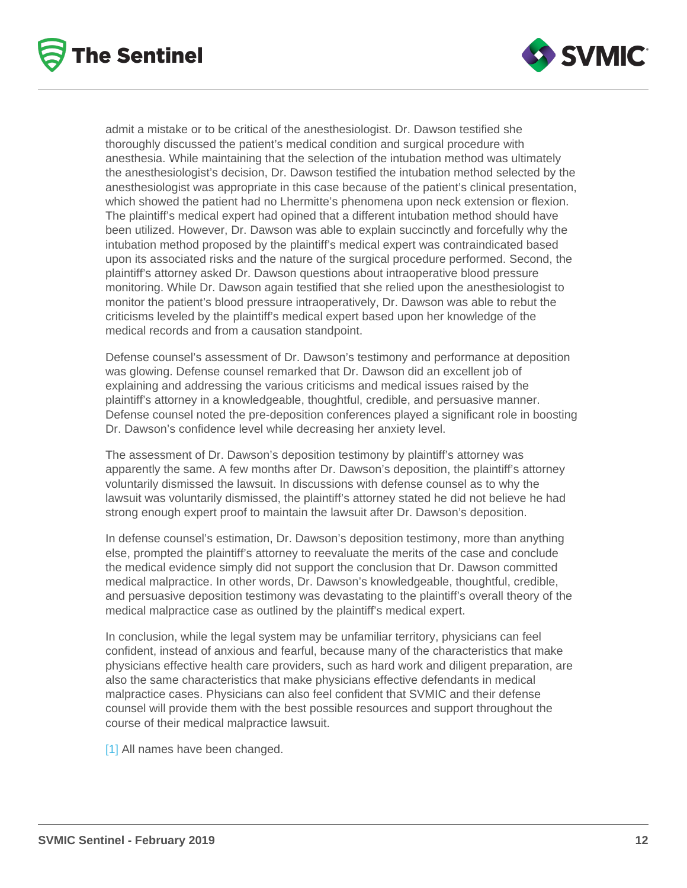<span id="page-11-0"></span>admit a mistake or to be critical of the anesthesiologist. Dr. Dawson testified she thoroughly discussed the patient's medical condition and surgical procedure with anesthesia. While maintaining that the selection of the intubation method was ultimately the anesthesiologist's decision, Dr. Dawson testified the intubation method selected by the anesthesiologist was appropriate in this case because of the patient's clinical presentation, which showed the patient had no Lhermitte's phenomena upon neck extension or flexion. The plaintiff's medical expert had opined that a different intubation method should have been utilized. However, Dr. Dawson was able to explain succinctly and forcefully why the intubation method proposed by the plaintiff's medical expert was contraindicated based upon its associated risks and the nature of the surgical procedure performed. Second, the plaintiff's attorney asked Dr. Dawson questions about intraoperative blood pressure monitoring. While Dr. Dawson again testified that she relied upon the anesthesiologist to monitor the patient's blood pressure intraoperatively, Dr. Dawson was able to rebut the criticisms leveled by the plaintiff's medical expert based upon her knowledge of the medical records and from a causation standpoint.

Defense counsel's assessment of Dr. Dawson's testimony and performance at deposition was glowing. Defense counsel remarked that Dr. Dawson did an excellent job of explaining and addressing the various criticisms and medical issues raised by the plaintiff's attorney in a knowledgeable, thoughtful, credible, and persuasive manner. Defense counsel noted the pre-deposition conferences played a significant role in boosting Dr. Dawson's confidence level while decreasing her anxiety level.

The assessment of Dr. Dawson's deposition testimony by plaintiff's attorney was apparently the same. A few months after Dr. Dawson's deposition, the plaintiff's attorney voluntarily dismissed the lawsuit. In discussions with defense counsel as to why the lawsuit was voluntarily dismissed, the plaintiff's attorney stated he did not believe he had strong enough expert proof to maintain the lawsuit after Dr. Dawson's deposition.

In defense counsel's estimation, Dr. Dawson's deposition testimony, more than anything else, prompted the plaintiff's attorney to reevaluate the merits of the case and conclude the medical evidence simply did not support the conclusion that Dr. Dawson committed medical malpractice. In other words, Dr. Dawson's knowledgeable, thoughtful, credible, and persuasive deposition testimony was devastating to the plaintiff's overall theory of the medical malpractice case as outlined by the plaintiff's medical expert.

In conclusion, while the legal system may be unfamiliar territory, physicians can feel confident, instead of anxious and fearful, because many of the characteristics that make physicians effective health care providers, such as hard work and diligent preparation, are also the same characteristics that make physicians effective defendants in medical malpractice cases. Physicians can also feel confident that SVMIC and their defense counsel will provide them with the best possible resources and support throughout the course of their medical malpractice lawsuit.

[\[1\]](#page-10-0) All names have been changed.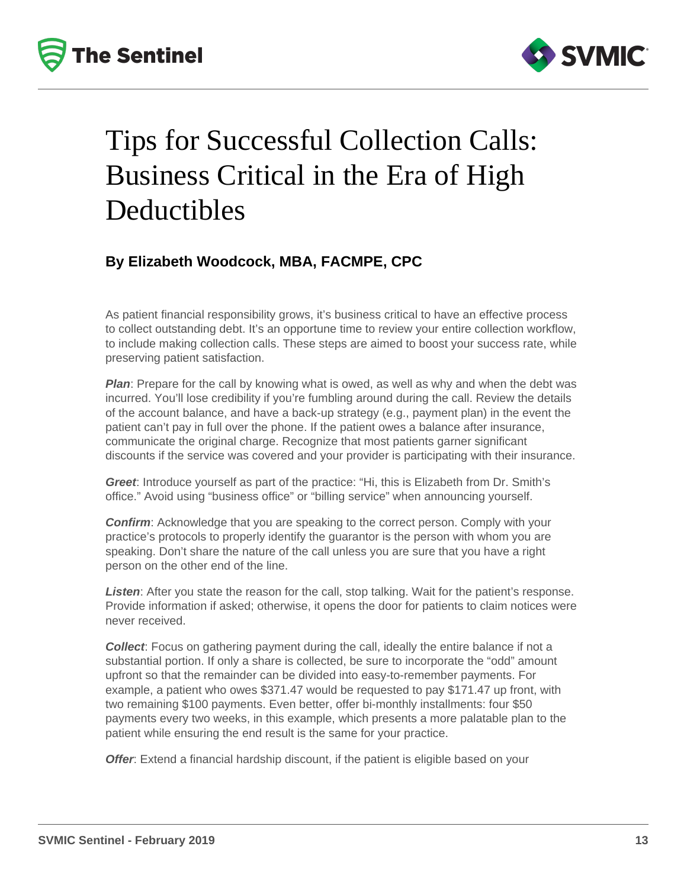



# Tips for Successful Collection Calls: Business Critical in the Era of High Deductibles

# **By Elizabeth Woodcock, MBA, FACMPE, CPC**

As patient financial responsibility grows, it's business critical to have an effective process to collect outstanding debt. It's an opportune time to review your entire collection workflow, to include making collection calls. These steps are aimed to boost your success rate, while preserving patient satisfaction.

**Plan**: Prepare for the call by knowing what is owed, as well as why and when the debt was incurred. You'll lose credibility if you're fumbling around during the call. Review the details of the account balance, and have a back-up strategy (e.g., payment plan) in the event the patient can't pay in full over the phone. If the patient owes a balance after insurance, communicate the original charge. Recognize that most patients garner significant discounts if the service was covered and your provider is participating with their insurance.

**Greet**: Introduce yourself as part of the practice: "Hi, this is Elizabeth from Dr. Smith's office." Avoid using "business office" or "billing service" when announcing yourself.

**Confirm**: Acknowledge that you are speaking to the correct person. Comply with your practice's protocols to properly identify the guarantor is the person with whom you are speaking. Don't share the nature of the call unless you are sure that you have a right person on the other end of the line.

**Listen**: After you state the reason for the call, stop talking. Wait for the patient's response. Provide information if asked; otherwise, it opens the door for patients to claim notices were never received.

**Collect**: Focus on gathering payment during the call, ideally the entire balance if not a substantial portion. If only a share is collected, be sure to incorporate the "odd" amount upfront so that the remainder can be divided into easy-to-remember payments. For example, a patient who owes \$371.47 would be requested to pay \$171.47 up front, with two remaining \$100 payments. Even better, offer bi-monthly installments: four \$50 payments every two weeks, in this example, which presents a more palatable plan to the patient while ensuring the end result is the same for your practice.

**Offer**: Extend a financial hardship discount, if the patient is eligible based on your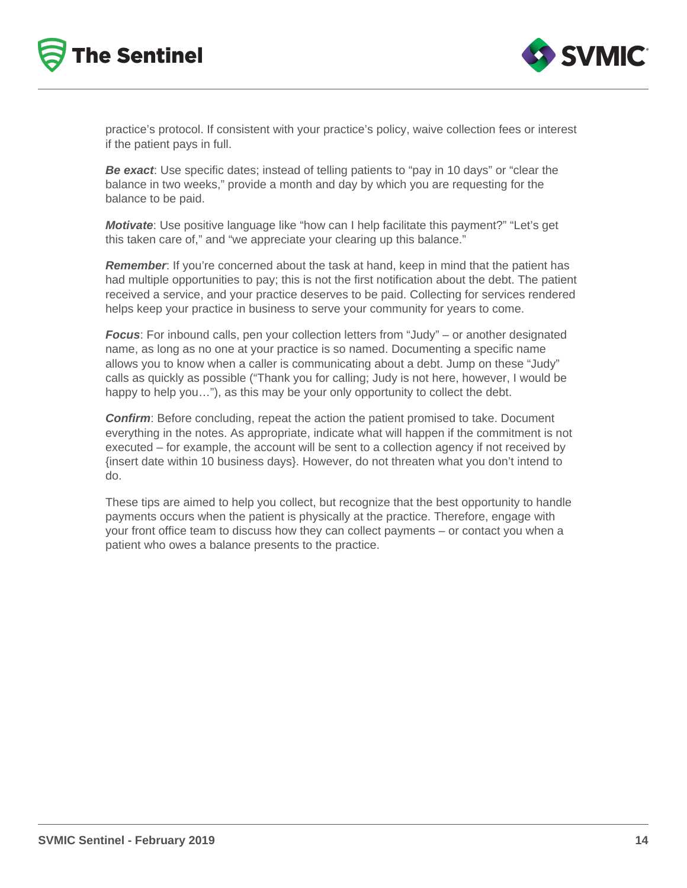



practice's protocol. If consistent with your practice's policy, waive collection fees or interest if the patient pays in full.

**Be exact**: Use specific dates; instead of telling patients to "pay in 10 days" or "clear the balance in two weeks," provide a month and day by which you are requesting for the balance to be paid.

**Motivate**: Use positive language like "how can I help facilitate this payment?" "Let's get this taken care of," and "we appreciate your clearing up this balance."

**Remember**: If you're concerned about the task at hand, keep in mind that the patient has had multiple opportunities to pay; this is not the first notification about the debt. The patient received a service, and your practice deserves to be paid. Collecting for services rendered helps keep your practice in business to serve your community for years to come.

**Focus**: For inbound calls, pen your collection letters from "Judy" – or another designated name, as long as no one at your practice is so named. Documenting a specific name allows you to know when a caller is communicating about a debt. Jump on these "Judy" calls as quickly as possible ("Thank you for calling; Judy is not here, however, I would be happy to help you..."), as this may be your only opportunity to collect the debt.

**Confirm**: Before concluding, repeat the action the patient promised to take. Document everything in the notes. As appropriate, indicate what will happen if the commitment is not executed – for example, the account will be sent to a collection agency if not received by {insert date within 10 business days}. However, do not threaten what you don't intend to do.

These tips are aimed to help you collect, but recognize that the best opportunity to handle payments occurs when the patient is physically at the practice. Therefore, engage with your front office team to discuss how they can collect payments – or contact you when a patient who owes a balance presents to the practice.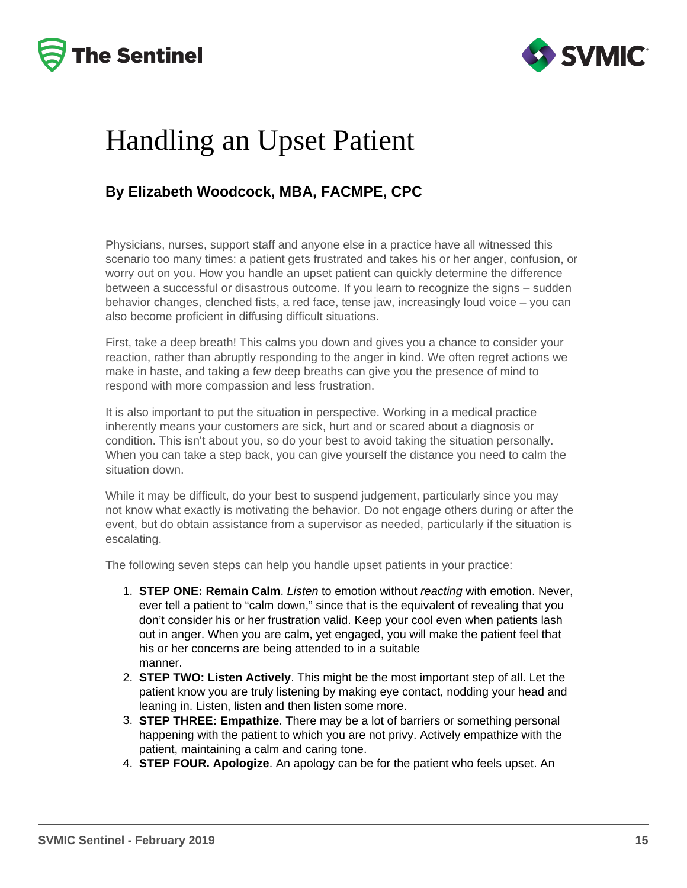



# Handling an Upset Patient

# **By Elizabeth Woodcock, MBA, FACMPE, CPC**

Physicians, nurses, support staff and anyone else in a practice have all witnessed this scenario too many times: a patient gets frustrated and takes his or her anger, confusion, or worry out on you. How you handle an upset patient can quickly determine the difference between a successful or disastrous outcome. If you learn to recognize the signs – sudden behavior changes, clenched fists, a red face, tense jaw, increasingly loud voice – you can also become proficient in diffusing difficult situations.

First, take a deep breath! This calms you down and gives you a chance to consider your reaction, rather than abruptly responding to the anger in kind. We often regret actions we make in haste, and taking a few deep breaths can give you the presence of mind to respond with more compassion and less frustration.

It is also important to put the situation in perspective. Working in a medical practice inherently means your customers are sick, hurt and or scared about a diagnosis or condition. This isn't about you, so do your best to avoid taking the situation personally. When you can take a step back, you can give yourself the distance you need to calm the situation down.

While it may be difficult, do your best to suspend judgement, particularly since you may not know what exactly is motivating the behavior. Do not engage others during or after the event, but do obtain assistance from a supervisor as needed, particularly if the situation is escalating.

The following seven steps can help you handle upset patients in your practice:

- 1. **STEP ONE: Remain Calm**. Listen to emotion without reacting with emotion. Never, ever tell a patient to "calm down," since that is the equivalent of revealing that you don't consider his or her frustration valid. Keep your cool even when patients lash out in anger. When you are calm, yet engaged, you will make the patient feel that his or her concerns are being attended to in a suitable manner.
- 2. **STEP TWO: Listen Actively**. This might be the most important step of all. Let the patient know you are truly listening by making eye contact, nodding your head and leaning in. Listen, listen and then listen some more.
- 3. **STEP THREE: Empathize**. There may be a lot of barriers or something personal happening with the patient to which you are not privy. Actively empathize with the patient, maintaining a calm and caring tone.
- 4. **STEP FOUR. Apologize**. An apology can be for the patient who feels upset. An